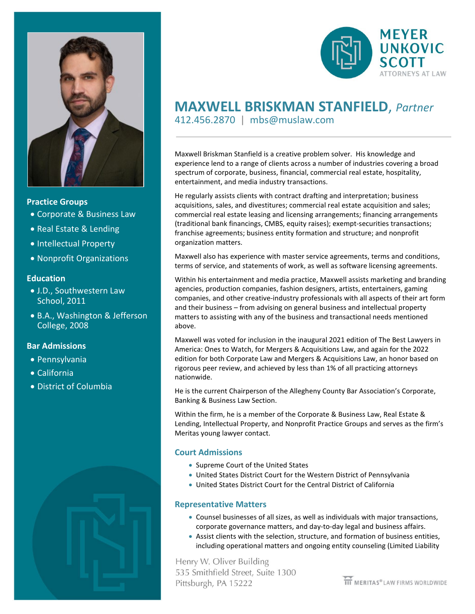

#### **Practice Groups**

- Corporate & Business Law
- Real Estate & Lending
- Intellectual Property
- Nonprofit Organizations

#### **Education**

- J.D., Southwestern Law School, 2011
- B.A., Washington & Jefferson College, 2008

#### **Bar Admissions**

- Pennsylvania
- California
- District of Columbia





## **MAXWELL BRISKMAN STANFIELD**, *Partner*412.456.2870 | mbs@muslaw.com

Maxwell Briskman Stanfield is a creative problem solver. His knowledge and experience lend to a range of clients across a number of industries covering a broad spectrum of corporate, business, financial, commercial real estate, hospitality, entertainment, and media industry transactions.

He regularly assists clients with contract drafting and interpretation; business acquisitions, sales, and divestitures; commercial real estate acquisition and sales; commercial real estate leasing and licensing arrangements; financing arrangements (traditional bank financings, CMBS, equity raises); exempt-securities transactions; franchise agreements; business entity formation and structure; and nonprofit organization matters.

Maxwell also has experience with master service agreements, terms and conditions, terms of service, and statements of work, as well as software licensing agreements.

Within his entertainment and media practice, Maxwell assists marketing and branding agencies, production companies, fashion designers, artists, entertainers, gaming companies, and other creative-industry professionals with all aspects of their art form and their business – from advising on general business and intellectual property matters to assisting with any of the business and transactional needs mentioned above.

Maxwell was voted for inclusion in the inaugural 2021 edition of The Best Lawyers in America: Ones to Watch, for Mergers & Acquisitions Law, and again for the 2022 edition for both Corporate Law and Mergers & Acquisitions Law, an honor based on rigorous peer review, and achieved by less than 1% of all practicing attorneys nationwide.

He is the current Chairperson of the Allegheny County Bar Association's Corporate, Banking & Business Law Section.

Within the firm, he is a member of the Corporate & Business Law, Real Estate & Lending, Intellectual Property, and Nonprofit Practice Groups and serves as the firm's Meritas young lawyer contact.

#### **Court Admissions**

- Supreme Court of the United States
- United States District Court for the Western District of Pennsylvania
- United States District Court for the Central District of California

#### **Representative Matters**

- Counsel businesses of all sizes, as well as individuals with major transactions, corporate governance matters, and day-to-day legal and business affairs.
- Assist clients with the selection, structure, and formation of business entities, including operational matters and ongoing entity counseling (Limited Liability

Henry W. Oliver Building 535 Smithfield Street, Suite 1300 Pittsburgh, PA 15222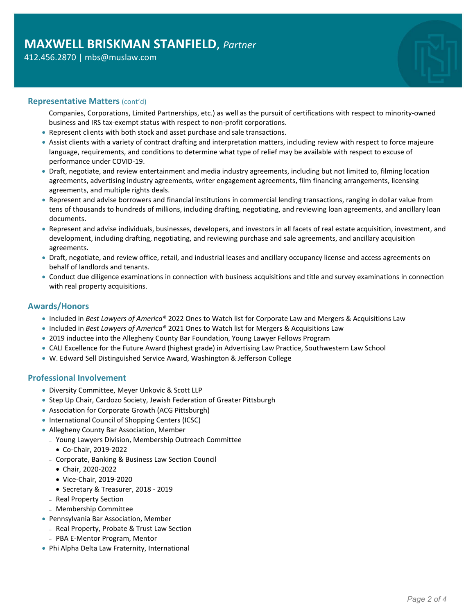#### 412.456.2870 | mbs@muslaw.com

#### **Representative Matters** (cont'd)

- Companies, Corporations, Limited Partnerships, etc.) as well as the pursuit of certifications with respect to minority-owned business and IRS tax-exempt status with respect to non-profit corporations.
- Represent clients with both stock and asset purchase and sale transactions.
- Assist clients with a variety of contract drafting and interpretation matters, including review with respect to force majeure language, requirements, and conditions to determine what type of relief may be available with respect to excuse of performance under COVID-19.
- Draft, negotiate, and review entertainment and media industry agreements, including but not limited to, filming location agreements, advertising industry agreements, writer engagement agreements, film financing arrangements, licensing agreements, and multiple rights deals.
- Represent and advise borrowers and financial institutions in commercial lending transactions, ranging in dollar value from tens of thousands to hundreds of millions, including drafting, negotiating, and reviewing loan agreements, and ancillary loan documents.
- Represent and advise individuals, businesses, developers, and investors in all facets of real estate acquisition, investment, and development, including drafting, negotiating, and reviewing purchase and sale agreements, and ancillary acquisition agreements.
- Draft, negotiate, and review office, retail, and industrial leases and ancillary occupancy license and access agreements on behalf of landlords and tenants.
- Conduct due diligence examinations in connection with business acquisitions and title and survey examinations in connection with real property acquisitions.

#### **Awards/Honors**

- Included in *Best Lawyers of America®* 2022 Ones to Watch list for Corporate Law and Mergers & Acquisitions Law
- Included in *Best Lawyers of America®* 2021 Ones to Watch list for Mergers & Acquisitions Law
- 2019 inductee into the Allegheny County Bar Foundation, Young Lawyer Fellows Program
- CALI Excellence for the Future Award (highest grade) in Advertising Law Practice, Southwestern Law School
- W. Edward Sell Distinguished Service Award, Washington & Jefferson College

#### **Professional Involvement**

- Diversity Committee, Meyer Unkovic & Scott LLP
- Step Up Chair, Cardozo Society, Jewish Federation of Greater Pittsburgh
- Association for Corporate Growth (ACG Pittsburgh)
- International Council of Shopping Centers (ICSC)
- Allegheny County Bar Association, Member
	- <sup>−</sup> Young Lawyers Division, Membership Outreach Committee
		- Co-Chair, 2019-2022
	- <sup>−</sup> Corporate, Banking & Business Law Section Council
	- Chair, 2020-2022
	- Vice-Chair, 2019-2020
	- Secretary & Treasurer, 2018 2019
	- <sup>−</sup> Real Property Section
	- <sup>−</sup> Membership Committee
- Pennsylvania Bar Association, Member
	- <sup>−</sup> Real Property, Probate & Trust Law Section
	- <sup>−</sup> PBA E-Mentor Program, Mentor
- Phi Alpha Delta Law Fraternity, International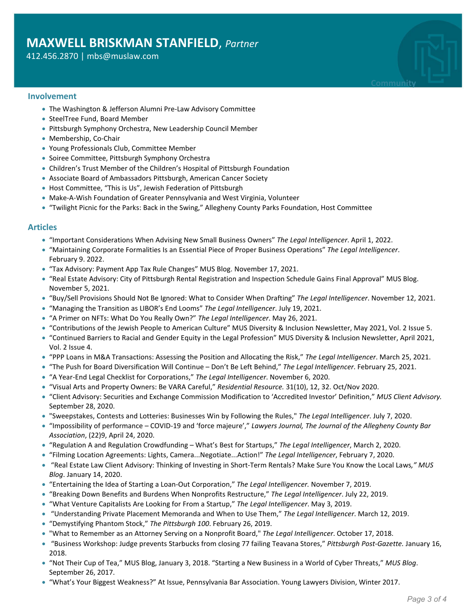### **MAXWELL BRISKMAN STANFIELD**, *Partner*

#### 412.456.2870 | mbs@muslaw.com

# **Community**

#### **Involvement**

- The Washington & Jefferson Alumni Pre-Law Advisory Committee
- SteelTree Fund, Board Member
- Pittsburgh Symphony Orchestra, New Leadership Council Member
- Membership, Co-Chair
- Young Professionals Club, Committee Member
- Soiree Committee, Pittsburgh Symphony Orchestra
- Children's Trust Member of the Children's Hospital of Pittsburgh Foundation
- Associate Board of Ambassadors Pittsburgh, American Cancer Society
- Host Committee, "This is Us", Jewish Federation of Pittsburgh
- Make-A-Wish Foundation of Greater Pennsylvania and West Virginia, Volunteer
- "Twilight Picnic for the Parks: Back in the Swing," Allegheny County Parks Foundation, Host Committee

#### **Articles**

- "Important Considerations When Advising New Small Business Owners" *The Legal Intelligencer*. April 1, 2022.
- "Maintaining Corporate Formalities Is an Essential Piece of Proper Business Operations" *The Legal Intelligencer*. February 9. 2022.
- "Tax Advisory: Payment App Tax Rule Changes" MUS Blog. November 17, 2021.
- "Real Estate Advisory: City of Pittsburgh Rental Registration and Inspection Schedule Gains Final Approval" MUS Blog. November 5, 2021.
- "Buy/Sell Provisions Should Not Be Ignored: What to Consider When Drafting" *The Legal Intelligencer*. November 12, 2021.
- "Managing the Transition as LIBOR's End Looms" *The Legal Intelligencer*. July 19, 2021.
- "A Primer on NFTs: What Do You Really Own?" *The Legal Intelligencer*. May 26, 2021.
- "Contributions of the Jewish People to American Culture" MUS Diversity & Inclusion Newsletter, May 2021, Vol. 2 Issue 5.
- "Continued Barriers to Racial and Gender Equity in the Legal Profession" MUS Diversity & Inclusion Newsletter, April 2021, Vol. 2 Issue 4.
- "PPP Loans in M&A Transactions: Assessing the Position and Allocating the Risk," *The Legal Intelligencer*. March 25, 2021.
- "The Push for Board Diversification Will Continue Don't Be Left Behind," *The Legal Intelligencer*. February 25, 2021.
- "A Year-End Legal Checklist for Corporations," *The Legal Intelligencer*. November 6, 2020.
- "Visual Arts and Property Owners: Be VARA Careful," *Residential Resource.* 31(10), 12, 32. Oct/Nov 2020.
- "Client Advisory: Securities and Exchange Commission Modification to 'Accredited Investor' Definition," *MUS Client Advisory.* September 28, 2020.
- "Sweepstakes, Contests and Lotteries: Businesses Win by Following the Rules," *The Legal Intelligencer*. July 7, 2020.
- "Impossibility of performance COVID-19 and 'force majeure'," *Lawyers Journal, The Journal of the Allegheny County Bar Association*, (22)9, April 24, 2020.
- "Regulation A and Regulation Crowdfunding What's Best for Startups," *The Legal Intelligencer*, March 2, 2020.
- "Filming Location Agreements: Lights, Camera...Negotiate...Action!" *The Legal Intelligencer*, February 7, 2020.
- "Real Estate Law Client Advisory: Thinking of Investing in Short-Term Rentals? Make Sure You Know the Local Laws*," MUS Blog*. January 14, 2020.
- "Entertaining the Idea of Starting a Loan-Out Corporation," *The Legal Intelligencer.* November 7, 2019.
- "Breaking Down Benefits and Burdens When Nonprofits Restructure," *The Legal Intelligencer*. July 22, 2019.
- "What Venture Capitalists Are Looking for From a Startup," *The Legal Intelligencer*. May 3, 2019.
- "Understanding Private Placement Memoranda and When to Use Them," *The Legal Intelligencer*. March 12, 2019.
- "Demystifying Phantom Stock," *The Pittsburgh 100*. February 26, 2019.
- "What to Remember as an Attorney Serving on a Nonprofit Board," *The Legal Intelligencer*. October 17, 2018.
- "Business Workshop: Judge prevents Starbucks from closing 77 failing Teavana Stores," *Pittsburgh Post-Gazette.* January 16, 2018.
- "Not Their Cup of Tea," MUS Blog, January 3, 2018. "Starting a New Business in a World of Cyber Threats," *MUS Blog*. September 26, 2017.
- "What's Your Biggest Weakness?" At Issue, Pennsylvania Bar Association. Young Lawyers Division, Winter 2017.